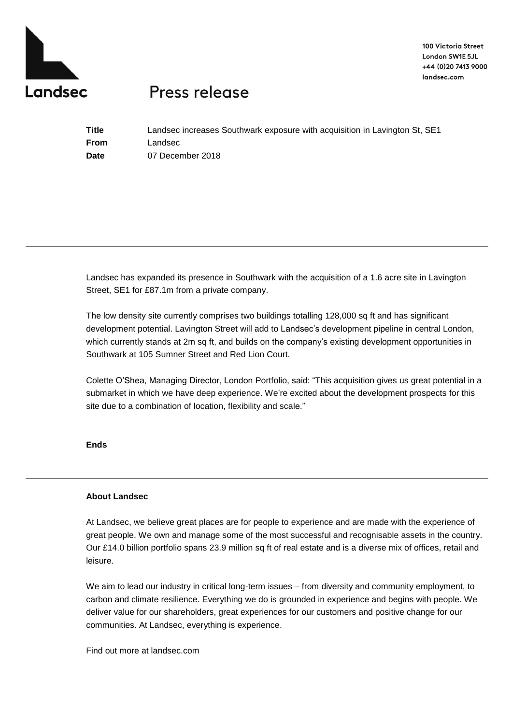

100 Victoria Street London SW1E 5JL +44 (0)20 7413 9000 landsec.com

## Press release

**Title** Landsec increases Southwark exposure with acquisition in Lavington St, SE1 **From** Landsec **Date** 07 December 2018

Landsec has expanded its presence in Southwark with the acquisition of a 1.6 acre site in Lavington Street, SE1 for £87.1m from a private company.

The low density site currently comprises two buildings totalling 128,000 sq ft and has significant development potential. Lavington Street will add to Landsec's development pipeline in central London, which currently stands at 2m sq ft, and builds on the company's existing development opportunities in Southwark at 105 Sumner Street and Red Lion Court.

Colette O'Shea, Managing Director, London Portfolio, said: "This acquisition gives us great potential in a submarket in which we have deep experience. We're excited about the development prospects for this site due to a combination of location, flexibility and scale."

**Ends**

## **About Landsec**

At Landsec, we believe great places are for people to experience and are made with the experience of great people. We own and manage some of the most successful and recognisable assets in the country. Our £14.0 billion portfolio spans 23.9 million sq ft of real estate and is a diverse mix of offices, retail and leisure.

We aim to lead our industry in critical long-term issues – from diversity and community employment, to carbon and climate resilience. Everything we do is grounded in experience and begins with people. We deliver value for our shareholders, great experiences for our customers and positive change for our communities. At Landsec, everything is experience.

Find out more at landsec.com